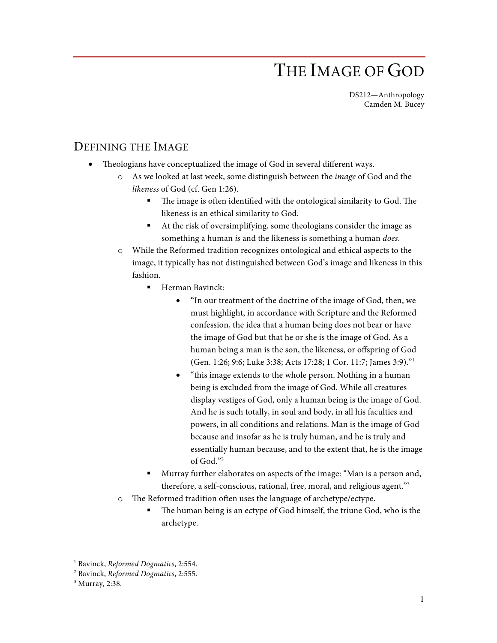## THE IMAGE OF GOD

DS212—Anthropology Camden M. Bucey

## DEFINING THE IMAGE

- Theologians have conceptualized the image of God in several different ways.
	- o As we looked at last week, some distinguish between the *image* of God and the *likeness* of God (cf. Gen 1:26).
		- The image is often identified with the ontological similarity to God. The likeness is an ethical similarity to God.
		- § At the risk of oversimplifying, some theologians consider the image as something a human *is* and the likeness is something a human *does*.
	- o While the Reformed tradition recognizes ontological and ethical aspects to the image, it typically has not distinguished between God's image and likeness in this fashion.
		- Herman Bavinck:
			- "In our treatment of the doctrine of the image of God, then, we must highlight, in accordance with Scripture and the Reformed confession, the idea that a human being does not bear or have the image of God but that he or she is the image of God. As a human being a man is the son, the likeness, or offspring of God (Gen. 1:26; 9:6; Luke 3:38; Acts 17:28; 1 Cor. 11:7; James 3:9)."1
			- "this image extends to the whole person. Nothing in a human being is excluded from the image of God. While all creatures display vestiges of God, only a human being is the image of God. And he is such totally, in soul and body, in all his faculties and powers, in all conditions and relations. Man is the image of God because and insofar as he is truly human, and he is truly and essentially human because, and to the extent that, he is the image of God."2
		- Murray further elaborates on aspects of the image: "Man is a person and, therefore, a self-conscious, rational, free, moral, and religious agent."3
	- o The Reformed tradition often uses the language of archetype/ectype.
		- The human being is an ectype of God himself, the triune God, who is the archetype.

 <sup>1</sup> Bavinck, *Reformed Dogmatics*, 2:554.

<sup>2</sup> Bavinck, *Reformed Dogmatics*, 2:555.

<sup>3</sup> Murray, 2:38.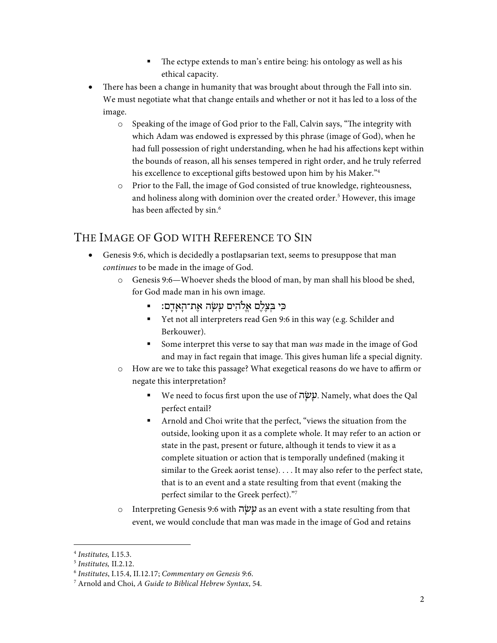- The ectype extends to man's entire being: his ontology as well as his ethical capacity.
- There has been a change in humanity that was brought about through the Fall into sin. We must negotiate what that change entails and whether or not it has led to a loss of the image.
	- o Speaking of the image of God prior to the Fall, Calvin says, "The integrity with which Adam was endowed is expressed by this phrase (image of God), when he had full possession of right understanding, when he had his affections kept within the bounds of reason, all his senses tempered in right order, and he truly referred his excellence to exceptional gifts bestowed upon him by his Maker."<sup>4</sup>
	- o Prior to the Fall, the image of God consisted of true knowledge, righteousness, and holiness along with dominion over the created order.<sup>5</sup> However, this image has been affected by sin. 6

## THE IMAGE OF GOD WITH REFERENCE TO SIN

- Genesis 9:6, which is decidedly a postlapsarian text, seems to presuppose that man *continues* to be made in the image of God.
	- o Genesis 9:6—Whoever sheds the blood of man, by man shall his blood be shed, for God made man in his own image.
		- בִּי בִּצַלָם אַלֹהִים עַשָׂה אֶת־הָאָדִם: ■
		- Yet not all interpreters read Gen 9:6 in this way (e.g. Schilder and Berkouwer).
		- § Some interpret this verse to say that man *was* made in the image of God and may in fact regain that image. This gives human life a special dignity.
	- o How are we to take this passage? What exegetical reasons do we have to affirm or negate this interpretation?
		- We need to focus first upon the use of עשׂה. Namely, what does the Qal perfect entail?
		- Arnold and Choi write that the perfect, "views the situation from the outside, looking upon it as a complete whole. It may refer to an action or state in the past, present or future, although it tends to view it as a complete situation or action that is temporally undefined (making it similar to the Greek aorist tense). . . . It may also refer to the perfect state, that is to an event and a state resulting from that event (making the perfect similar to the Greek perfect)."7
	- o Interpreting Genesis 9:6 with ה ָשׂ ָע as an event with a state resulting from that event, we would conclude that man was made in the image of God and retains

 <sup>4</sup> *Institutes,* I.15.3.

<sup>5</sup> *Institutes,* II.2.12.

<sup>6</sup> *Institutes*, I.15.4, II.12.17; *Commentary on Genesis 9:6*.

<sup>7</sup> Arnold and Choi, *A Guide to Biblical Hebrew Syntax*, 54.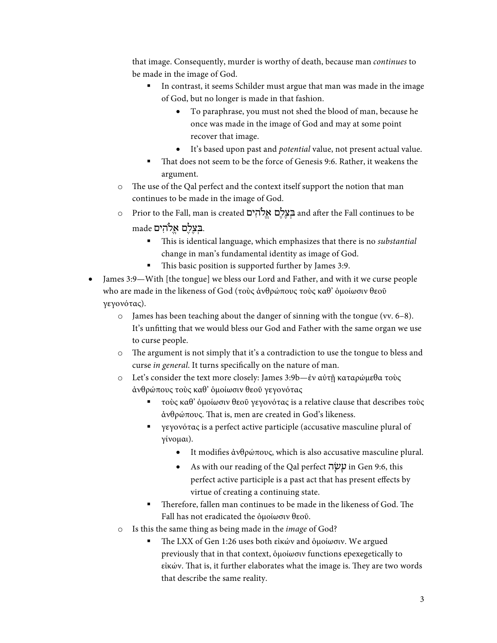that image. Consequently, murder is worthy of death, because man *continues* to be made in the image of God.

- In contrast, it seems Schilder must argue that man was made in the image of God, but no longer is made in that fashion.
	- To paraphrase, you must not shed the blood of man, because he once was made in the image of God and may at some point recover that image.
	- It's based upon past and *potential* value, not present actual value.
- That does not seem to be the force of Genesis 9:6. Rather, it weakens the argument.
- o The use of the Qal perfect and the context itself support the notion that man continues to be made in the image of God.
- o Prior to the Fall, man is created בִצְלֵם אֱלֹהִים and after the Fall continues to be .בְּ צֶלֶם אֱ ֹלהִ ים made
	- § This is identical language, which emphasizes that there is no *substantial*  change in man's fundamental identity as image of God.
	- This basic position is supported further by James 3:9.
- James 3:9—With [the tongue] we bless our Lord and Father, and with it we curse people who are made in the likeness of God (τοὺς ἀνθρώπους τοὺς καθ' ὁμοίωσιν θεοῦ γεγονότας).
	- o James has been teaching about the danger of sinning with the tongue (vv. 6–8). It's unfitting that we would bless our God and Father with the same organ we use to curse people.
	- o The argument is not simply that it's a contradiction to use the tongue to bless and curse *in general*. It turns specifically on the nature of man.
	- o Let's consider the text more closely: James 3:9b—ἐν αὐτῇ καταρώμεθα τοὺς ἀνθρώπους τοὺς καθ' ὁμοίωσιν θεοῦ γεγονότας
		- $\blacksquare$  τοὺς καθ' ὁμοίωσιν θεοῦ γεγονότας is a relative clause that describes τοὺς ἀνθρώπους. That is, men are created in God's likeness.
		- § γεγονότας is a perfect active participle (accusative masculine plural of γίνομαι).
			- It modifies ἀνθρώπους, which is also accusative masculine plural.
			- As with our reading of the Qal perfect ה $\frac{1}{2}$  in Gen 9:6, this perfect active participle is a past act that has present effects by virtue of creating a continuing state.
		- § Therefore, fallen man continues to be made in the likeness of God. The Fall has not eradicated the ὁμοίωσιν θεοῦ.
	- o Is this the same thing as being made in the *image* of God?
		- § The LXX of Gen 1:26 uses both εἰκών and ὁμοίωσιν. We argued previously that in that context, ὁμοίωσιν functions epexegetically to εἰκών. That is, it further elaborates what the image is. They are two words that describe the same reality.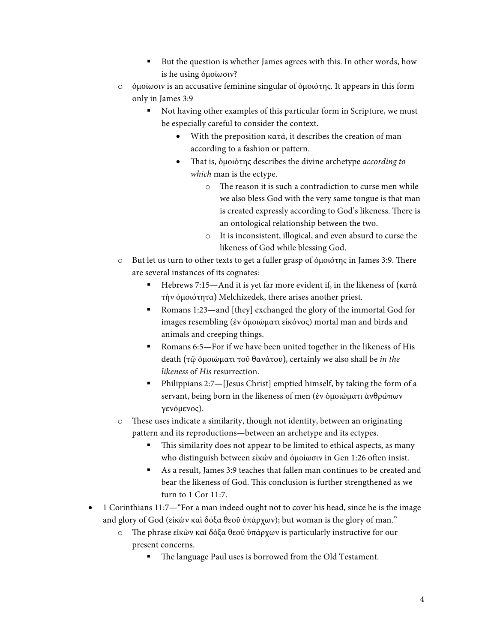- But the question is whether James agrees with this. In other words, how is he using ὁμοίωσιν?
- o ὁμοίωσιν is an accusative feminine singular of ὁμοιότης. It appears in this form only in James 3:9
	- Not having other examples of this particular form in Scripture, we must be especially careful to consider the context.
		- With the preposition κατά, it describes the creation of man according to a fashion or pattern.
		- That is, ὁμοιότης describes the divine archetype *according to which* man is the ectype.
			- o The reason it is such a contradiction to curse men while we also bless God with the very same tongue is that man is created expressly according to God's likeness. There is an ontological relationship between the two.
			- o It is inconsistent, illogical, and even absurd to curse the likeness of God while blessing God.
- o But let us turn to other texts to get a fuller grasp of ὁμοιότης in James 3:9. There are several instances of its cognates:
	- § Hebrews 7:15—And it is yet far more evident if, in the likeness of (κατὰ τὴν ὁμοιότητα) Melchizedek, there arises another priest.
	- Romans 1:23—and [they] exchanged the glory of the immortal God for images resembling (ἐν ὁμοιώματι εἰκόνος) mortal man and birds and animals and creeping things.
	- Romans 6:5—For if we have been united together in the likeness of His death (τῷ ὁμοιώματι τοῦ θανάτου), certainly we also shall be *in the likeness* of *His* resurrection.
	- § Philippians 2:7—[Jesus Christ] emptied himself, by taking the form of a servant, being born in the likeness of men (ἐν ὁμοιώματι ἀνθρώπων γενόμενος).
- o These uses indicate a similarity, though not identity, between an originating pattern and its reproductions—between an archetype and its ectypes.
	- This similarity does not appear to be limited to ethical aspects, as many who distinguish between εἰκών and ὁμοίωσιν in Gen 1:26 often insist.
	- As a result, James 3:9 teaches that fallen man continues to be created and bear the likeness of God. This conclusion is further strengthened as we turn to 1 Cor 11:7.
- 1 Corinthians 11:7—"For a man indeed ought not to cover his head, since he is the image and glory of God (εἰκὼν καὶ δόξα θεοῦ ὑπάρχων); but woman is the glory of man."
	- o The phrase εἰκὼν καὶ δόξα θεοῦ ὑπάρχων is particularly instructive for our present concerns.
		- The language Paul uses is borrowed from the Old Testament.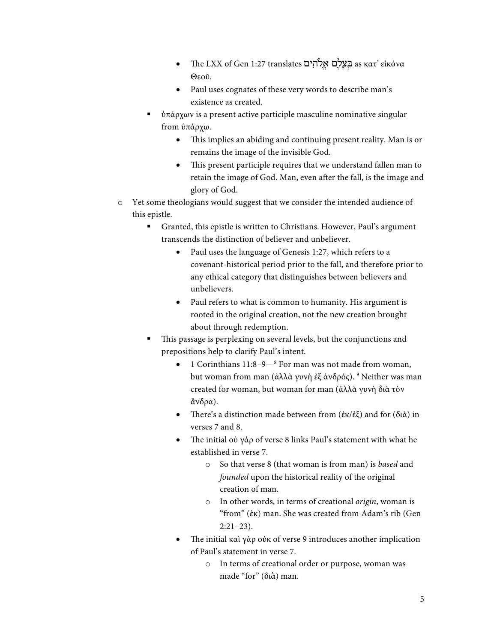- The LXX of Gen 1:27 translates בַצְלָם אֲלֹהִים as κατ' εἰκόνα Θεοῦ.
- Paul uses cognates of these very words to describe man's existence as created.
- $\bullet$  ύπάρχων is a present active participle masculine nominative singular from ὑπάρχω.
	- This implies an abiding and continuing present reality. Man is or remains the image of the invisible God.
	- This present participle requires that we understand fallen man to retain the image of God. Man, even after the fall, is the image and glory of God.
- o Yet some theologians would suggest that we consider the intended audience of this epistle.
	- Granted, this epistle is written to Christians. However, Paul's argument transcends the distinction of believer and unbeliever.
		- Paul uses the language of Genesis 1:27, which refers to a covenant-historical period prior to the fall, and therefore prior to any ethical category that distinguishes between believers and unbelievers.
		- Paul refers to what is common to humanity. His argument is rooted in the original creation, not the new creation brought about through redemption.
	- This passage is perplexing on several levels, but the conjunctions and prepositions help to clarify Paul's intent.
		- 1 Corinthians 11:8–9—8 For man was not made from woman, but woman from man (ἀλλὰ γυνὴ ἐξ ἀνδρός). <sup>9</sup> Neither was man created for woman, but woman for man (ἀλλὰ γυνὴ διὰ τὸν ἄνδρα).
		- There's a distinction made between from (ἐκ/ἐξ) and for (διὰ) in verses 7 and 8.
		- The initial οὐ γάρ of verse 8 links Paul's statement with what he established in verse 7.
			- o So that verse 8 (that woman is from man) is *based* and *founded* upon the historical reality of the original creation of man.
			- o In other words, in terms of creational *origin*, woman is "from" (ἐκ) man. She was created from Adam's rib (Gen 2:21–23).
		- The initial καὶ γὰρ οὐκ of verse 9 introduces another implication of Paul's statement in verse 7.
			- o In terms of creational order or purpose, woman was made "for" (διά) man.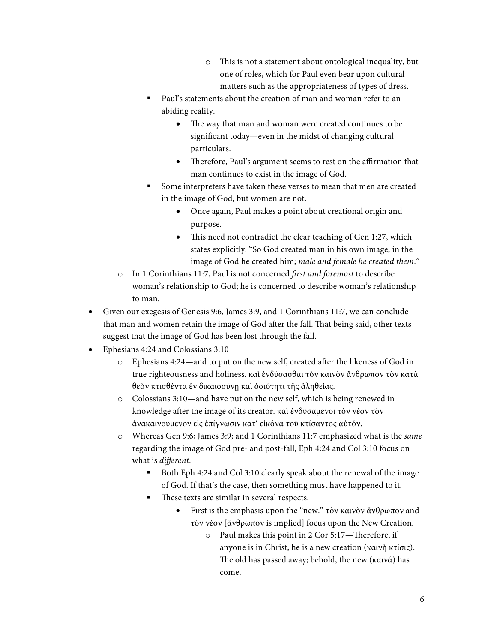- o This is not a statement about ontological inequality, but one of roles, which for Paul even bear upon cultural matters such as the appropriateness of types of dress.
- Paul's statements about the creation of man and woman refer to an abiding reality.
	- The way that man and woman were created continues to be significant today—even in the midst of changing cultural particulars.
	- Therefore, Paul's argument seems to rest on the affirmation that man continues to exist in the image of God.
- § Some interpreters have taken these verses to mean that men are created in the image of God, but women are not.
	- Once again, Paul makes a point about creational origin and purpose.
	- This need not contradict the clear teaching of Gen 1:27, which states explicitly: "So God created man in his own image, in the image of God he created him; *male and female he created them*."
- o In 1 Corinthians 11:7, Paul is not concerned *first and foremost* to describe woman's relationship to God; he is concerned to describe woman's relationship to man.
- Given our exegesis of Genesis 9:6, James 3:9, and 1 Corinthians 11:7, we can conclude that man and women retain the image of God after the fall. That being said, other texts suggest that the image of God has been lost through the fall.
- Ephesians 4:24 and Colossians 3:10
	- o Ephesians 4:24—and to put on the new self, created after the likeness of God in true righteousness and holiness. καὶ ἐνδύσασθαι τὸν καινὸν ἄνθρωπον τὸν κατὰ θεὸν κτισθέντα ἐν δικαιοσύνῃ καὶ ὁσιότητι τῆς ἀληθείας.
	- o Colossians 3:10—and have put on the new self, which is being renewed in knowledge after the image of its creator. καὶ ἐνδυσάμενοι τὸν νέον τὸν ἀνακαινούμενον εἰς ἐπίγνωσιν κατ' εἰκόνα τοῦ κτίσαντος αὐτόν,
	- o Whereas Gen 9:6; James 3:9; and 1 Corinthians 11:7 emphasized what is the *same* regarding the image of God pre- and post-fall, Eph 4:24 and Col 3:10 focus on what is *different*.
		- Both Eph 4:24 and Col 3:10 clearly speak about the renewal of the image of God. If that's the case, then something must have happened to it.
		- These texts are similar in several respects.
			- First is the emphasis upon the "new." τὸν καινὸν ἄνθρωπον and τὸν νέον [ἄνθρωπον is implied] focus upon the New Creation.
				- o Paul makes this point in 2 Cor 5:17—Therefore, if anyone is in Christ, he is a new creation (καινὴ κτίσις). The old has passed away; behold, the new (καινά) has come.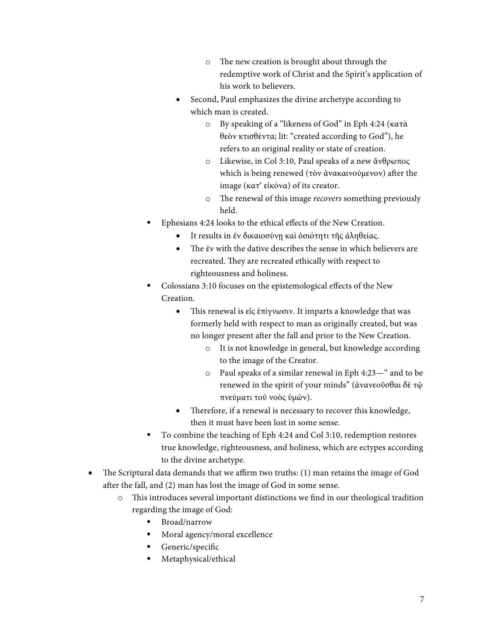- o The new creation is brought about through the redemptive work of Christ and the Spirit's application of his work to believers.
- Second, Paul emphasizes the divine archetype according to which man is created.
	- o By speaking of a "likeness of God" in Eph 4:24 (κατὰ θεὸν κτισθέντα; lit: "created according to God"), he refers to an original reality or state of creation.
	- o Likewise, in Col 3:10, Paul speaks of a new ἄνθρωπος which is being renewed (τὸν ἀνακαινούμενον) after the image (κατ' εἰκόνα) of its creator.
	- o The renewal of this image *recovers* something previously held.
- Ephesians 4:24 looks to the ethical effects of the New Creation.
	- It results in ἐν δικαιοσύνῃ καὶ ὁσιότητι τῆς ἀληθείας.
	- The ἐν with the dative describes the sense in which believers are recreated. They are recreated ethically with respect to righteousness and holiness.
- § Colossians 3:10 focuses on the epistemological effects of the New Creation.
	- This renewal is εἰς ἐπίγνωσιν. It imparts a knowledge that was formerly held with respect to man as originally created, but was no longer present after the fall and prior to the New Creation.
		- o It is not knowledge in general, but knowledge according to the image of the Creator.
		- o Paul speaks of a similar renewal in Eph 4:23—" and to be renewed in the spirit of your minds" (ἀνανεοῦσθαι δὲ τῷ πνεύματι τοῦ νοὸς ὑμῶν).
	- Therefore, if a renewal is necessary to recover this knowledge, then it must have been lost in some sense.
- To combine the teaching of Eph 4:24 and Col 3:10, redemption restores true knowledge, righteousness, and holiness, which are ectypes according to the divine archetype.
- The Scriptural data demands that we affirm two truths: (1) man retains the image of God after the fall, and (2) man has lost the image of God in some sense.
	- o This introduces several important distinctions we find in our theological tradition regarding the image of God:
		- Broad/narrow
		- § Moral agency/moral excellence
		- Generic/specific
		- Metaphysical/ethical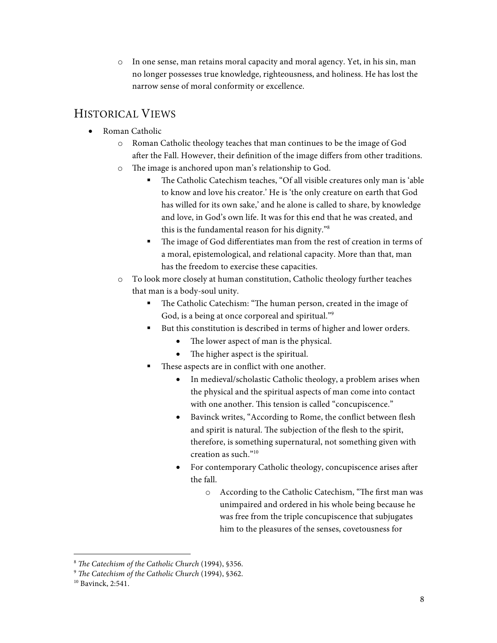o In one sense, man retains moral capacity and moral agency. Yet, in his sin, man no longer possesses true knowledge, righteousness, and holiness. He has lost the narrow sense of moral conformity or excellence.

## HISTORICAL VIEWS

- Roman Catholic
	- Roman Catholic theology teaches that man continues to be the image of God after the Fall. However, their definition of the image differs from other traditions.
	- o The image is anchored upon man's relationship to God.
		- The Catholic Catechism teaches, "Of all visible creatures only man is 'able to know and love his creator.' He is 'the only creature on earth that God has willed for its own sake,' and he alone is called to share, by knowledge and love, in God's own life. It was for this end that he was created, and this is the fundamental reason for his dignity."8
		- The image of God differentiates man from the rest of creation in terms of a moral, epistemological, and relational capacity. More than that, man has the freedom to exercise these capacities.
	- o To look more closely at human constitution, Catholic theology further teaches that man is a body-soul unity.
		- The Catholic Catechism: "The human person, created in the image of God, is a being at once corporeal and spiritual."<sup>9</sup>
		- But this constitution is described in terms of higher and lower orders.
			- The lower aspect of man is the physical.
			- The higher aspect is the spiritual.
		- These aspects are in conflict with one another.
			- In medieval/scholastic Catholic theology, a problem arises when the physical and the spiritual aspects of man come into contact with one another. This tension is called "concupiscence."
			- Bavinck writes, "According to Rome, the conflict between flesh and spirit is natural. The subjection of the flesh to the spirit, therefore, is something supernatural, not something given with creation as such."10
			- For contemporary Catholic theology, concupiscence arises after the fall.
				- o According to the Catholic Catechism, "The first man was unimpaired and ordered in his whole being because he was free from the triple concupiscence that subjugates him to the pleasures of the senses, covetousness for

 <sup>8</sup> *The Catechism of the Catholic Church* (1994), §356.

<sup>9</sup> *The Catechism of the Catholic Church* (1994), §362.

<sup>&</sup>lt;sup>10</sup> Bavinck, 2:541.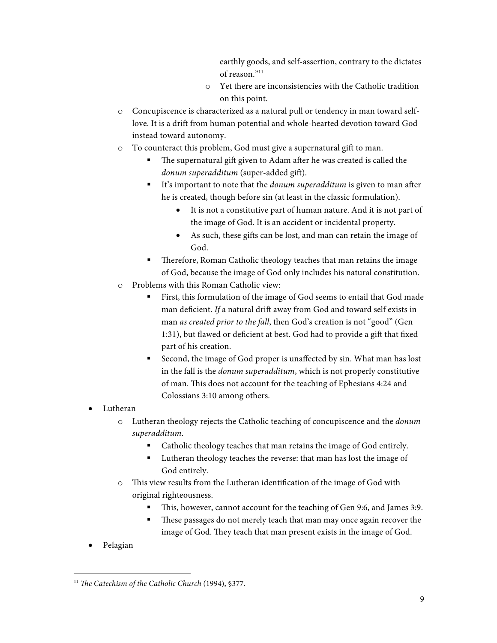earthly goods, and self-assertion, contrary to the dictates  $of$  reason $^{911}$ 

- o Yet there are inconsistencies with the Catholic tradition on this point.
- o Concupiscence is characterized as a natural pull or tendency in man toward selflove. It is a drift from human potential and whole-hearted devotion toward God instead toward autonomy.
- o To counteract this problem, God must give a supernatural gift to man.
	- The supernatural gift given to Adam after he was created is called the *donum superadditum* (super-added gift).
	- It's important to note that the *donum superadditum* is given to man after he is created, though before sin (at least in the classic formulation).
		- It is not a constitutive part of human nature. And it is not part of the image of God. It is an accident or incidental property.
		- As such, these gifts can be lost, and man can retain the image of God.
	- § Therefore, Roman Catholic theology teaches that man retains the image of God, because the image of God only includes his natural constitution.
- o Problems with this Roman Catholic view:
	- First, this formulation of the image of God seems to entail that God made man deficient. *If* a natural drift away from God and toward self exists in man *as created prior to the fall*, then God's creation is not "good" (Gen 1:31), but flawed or deficient at best. God had to provide a gift that fixed part of his creation.
	- Second, the image of God proper is unaffected by sin. What man has lost in the fall is the *donum superadditum*, which is not properly constitutive of man. This does not account for the teaching of Ephesians 4:24 and Colossians 3:10 among others.
- Lutheran
	- o Lutheran theology rejects the Catholic teaching of concupiscence and the *donum superadditum*.
		- § Catholic theology teaches that man retains the image of God entirely.
		- Lutheran theology teaches the reverse: that man has lost the image of God entirely.
	- o This view results from the Lutheran identification of the image of God with original righteousness.
		- § This, however, cannot account for the teaching of Gen 9:6, and James 3:9.
		- These passages do not merely teach that man may once again recover the image of God. They teach that man present exists in the image of God.
- Pelagian

<sup>&</sup>lt;sup>11</sup> The Catechism of the Catholic Church (1994), §377.